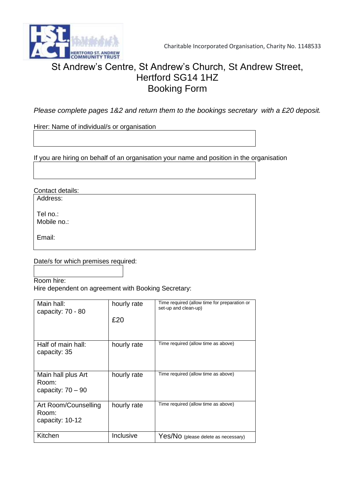

# St Andrew's Centre, St Andrew's Church, St Andrew Street, Hertford SG14 1HZ Booking Form

*Please complete pages 1&2 and return them to the bookings secretary with a £20 deposit.*

Hirer: Name of individual/s or organisation

If you are hiring on behalf of an organisation your name and position in the organisation

Contact details:

Address:

Tel no.: Mobile no.:

Email:

Date/s for which premises required:

Room hire: Hire dependent on agreement with Booking Secretary:

| Main hall:<br>capacity: 70 - 80                    | hourly rate<br>£20 | Time required (allow time for preparation or<br>set-up and clean-up) |
|----------------------------------------------------|--------------------|----------------------------------------------------------------------|
| Half of main hall:<br>capacity: 35                 | hourly rate        | Time required (allow time as above)                                  |
| Main hall plus Art<br>Room:<br>capacity: $70 - 90$ | hourly rate        | Time required (allow time as above)                                  |
| Art Room/Counselling<br>Room:<br>capacity: 10-12   | hourly rate        | Time required (allow time as above)                                  |
| Kitchen                                            | Inclusive          | Yes/NO (please delete as necessary)                                  |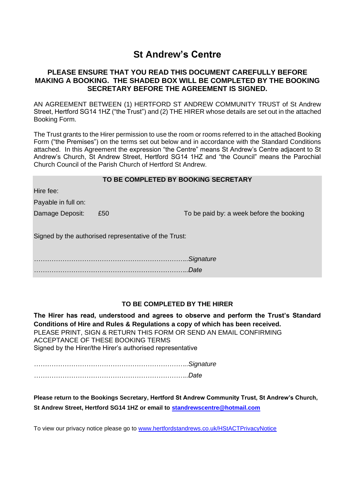# **St Andrew's Centre**

### **PLEASE ENSURE THAT YOU READ THIS DOCUMENT CAREFULLY BEFORE MAKING A BOOKING. THE SHADED BOX WILL BE COMPLETED BY THE BOOKING SECRETARY BEFORE THE AGREEMENT IS SIGNED.**

AN AGREEMENT BETWEEN (1) HERTFORD ST ANDREW COMMUNITY TRUST of St Andrew Street, Hertford SG14 1HZ ("the Trust") and (2) THE HIRER whose details are set out in the attached Booking Form.

The Trust grants to the Hirer permission to use the room or rooms referred to in the attached Booking Form ("the Premises") on the terms set out below and in accordance with the Standard Conditions attached. In this Agreement the expression "the Centre" means St Andrew's Centre adjacent to St Andrew's Church, St Andrew Street, Hertford SG14 1HZ and "the Council" means the Parochial Church Council of the Parish Church of Hertford St Andrew.

|                                                       | TO BE COMPLETED BY BOOKING SECRETARY |                                          |  |  |
|-------------------------------------------------------|--------------------------------------|------------------------------------------|--|--|
| Hire fee:                                             |                                      |                                          |  |  |
| Payable in full on:                                   |                                      |                                          |  |  |
| Damage Deposit:                                       | £50                                  | To be paid by: a week before the booking |  |  |
| Signed by the authorised representative of the Trust: |                                      |                                          |  |  |
|                                                       |                                      | Signature                                |  |  |
|                                                       |                                      | Date                                     |  |  |

## **TO BE COMPLETED BY THE HIRER**

**The Hirer has read, understood and agrees to observe and perform the Trust's Standard Conditions of Hire and Rules & Regulations a copy of which has been received.** PLEASE PRINT, SIGN & RETURN THIS FORM OR SEND AN EMAIL CONFIRMING ACCEPTANCE OF THESE BOOKING TERMS Signed by the Hirer/the Hirer's authorised representative

*……………………………………………………………..Signature ……………………………………………………………..Date*

**Please return to the Bookings Secretary, Hertford St Andrew Community Trust, St Andrew's Church, St Andrew Street, Hertford SG14 1HZ or email to [standrewscentre@hotmail.com](mailto:standrewscentre@hotmail.com)**

To view our privacy notice please go to [www.hertfordstandrews.co.uk/HStACTPrivacyNotice](file:///E:/Centre%20-%20working%20folder/Hiring%20%20Information/www.hertfordstandrews.co.uk/HStACTPrivacyNotice)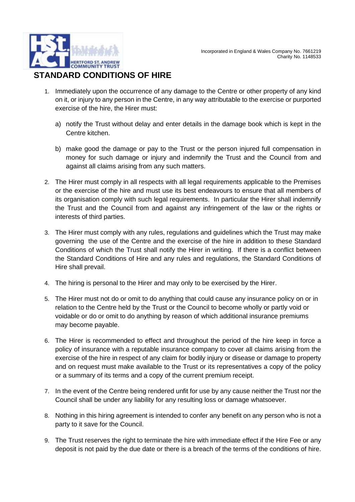## **STANDARD CONDITIONS OF HIRE**

- 1. Immediately upon the occurrence of any damage to the Centre or other property of any kind on it, or injury to any person in the Centre, in any way attributable to the exercise or purported exercise of the hire, the Hirer must:
	- a) notify the Trust without delay and enter details in the damage book which is kept in the Centre kitchen.
	- b) make good the damage or pay to the Trust or the person injured full compensation in money for such damage or injury and indemnify the Trust and the Council from and against all claims arising from any such matters.
- 2. The Hirer must comply in all respects with all legal requirements applicable to the Premises or the exercise of the hire and must use its best endeavours to ensure that all members of its organisation comply with such legal requirements. In particular the Hirer shall indemnify the Trust and the Council from and against any infringement of the law or the rights or interests of third parties.
- 3. The Hirer must comply with any rules, regulations and guidelines which the Trust may make governing the use of the Centre and the exercise of the hire in addition to these Standard Conditions of which the Trust shall notify the Hirer in writing. If there is a conflict between the Standard Conditions of Hire and any rules and regulations, the Standard Conditions of Hire shall prevail.
- 4. The hiring is personal to the Hirer and may only to be exercised by the Hirer.
- 5. The Hirer must not do or omit to do anything that could cause any insurance policy on or in relation to the Centre held by the Trust or the Council to become wholly or partly void or voidable or do or omit to do anything by reason of which additional insurance premiums may become payable.
- 6. The Hirer is recommended to effect and throughout the period of the hire keep in force a policy of insurance with a reputable insurance company to cover all claims arising from the exercise of the hire in respect of any claim for bodily injury or disease or damage to property and on request must make available to the Trust or its representatives a copy of the policy or a summary of its terms and a copy of the current premium receipt.
- 7. In the event of the Centre being rendered unfit for use by any cause neither the Trust nor the Council shall be under any liability for any resulting loss or damage whatsoever.
- 8. Nothing in this hiring agreement is intended to confer any benefit on any person who is not a party to it save for the Council.
- 9. The Trust reserves the right to terminate the hire with immediate effect if the Hire Fee or any deposit is not paid by the due date or there is a breach of the terms of the conditions of hire.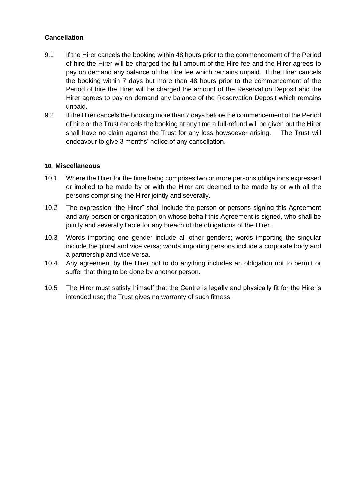## **Cancellation**

- 9.1 If the Hirer cancels the booking within 48 hours prior to the commencement of the Period of hire the Hirer will be charged the full amount of the Hire fee and the Hirer agrees to pay on demand any balance of the Hire fee which remains unpaid. If the Hirer cancels the booking within 7 days but more than 48 hours prior to the commencement of the Period of hire the Hirer will be charged the amount of the Reservation Deposit and the Hirer agrees to pay on demand any balance of the Reservation Deposit which remains unpaid.
- 9.2 If the Hirer cancels the booking more than 7 days before the commencement of the Period of hire or the Trust cancels the booking at any time a full-refund will be given but the Hirer shall have no claim against the Trust for any loss howsoever arising. The Trust will endeavour to give 3 months' notice of any cancellation.

### **10. Miscellaneous**

- 10.1 Where the Hirer for the time being comprises two or more persons obligations expressed or implied to be made by or with the Hirer are deemed to be made by or with all the persons comprising the Hirer jointly and severally.
- 10.2 The expression "the Hirer" shall include the person or persons signing this Agreement and any person or organisation on whose behalf this Agreement is signed, who shall be jointly and severally liable for any breach of the obligations of the Hirer.
- 10.3 Words importing one gender include all other genders; words importing the singular include the plural and vice versa; words importing persons include a corporate body and a partnership and vice versa.
- 10.4 Any agreement by the Hirer not to do anything includes an obligation not to permit or suffer that thing to be done by another person.
- 10.5 The Hirer must satisfy himself that the Centre is legally and physically fit for the Hirer's intended use; the Trust gives no warranty of such fitness.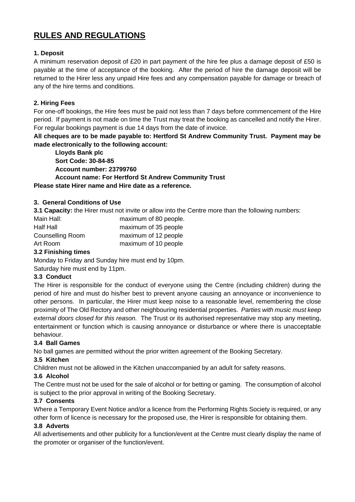## **RULES AND REGULATIONS**

#### **1. Deposit**

A minimum reservation deposit of £20 in part payment of the hire fee plus a damage deposit of £50 is payable at the time of acceptance of the booking. After the period of hire the damage deposit will be returned to the Hirer less any unpaid Hire fees and any compensation payable for damage or breach of any of the hire terms and conditions.

### **2. Hiring Fees**

For one-off bookings, the Hire fees must be paid not less than 7 days before commencement of the Hire period. If payment is not made on time the Trust may treat the booking as cancelled and notify the Hirer. For regular bookings payment is due 14 days from the date of invoice.

**All cheques are to be made payable to: Hertford St Andrew Community Trust. Payment may be made electronically to the following account:**

**Lloyds Bank plc Sort Code: 30-84-85 Account number: 23799760 Account name: For Hertford St Andrew Community Trust Please state Hirer name and Hire date as a reference.**

#### **3. General Conditions of Use**

**3.1 Capacity:** the Hirer must not invite or allow into the Centre more than the following numbers:

| maximum of 80 people. |
|-----------------------|
| maximum of 35 people  |
| maximum of 12 people  |
| maximum of 10 people  |
|                       |

## **3.2 Finishing times**

Monday to Friday and Sunday hire must end by 10pm.

Saturday hire must end by 11pm.

#### **3.3 Conduct**

The Hirer is responsible for the conduct of everyone using the Centre (including children) during the period of hire and must do his/her best to prevent anyone causing an annoyance or inconvenience to other persons. In particular, the Hirer must keep noise to a reasonable level, remembering the close proximity of The Old Rectory and other neighbouring residential properties. *Parties with music must keep external doors closed for this reason.* The Trust or its authorised representative may stop any meeting, entertainment or function which is causing annoyance or disturbance or where there is unacceptable behaviour.

#### **3.4 Ball Games**

No ball games are permitted without the prior written agreement of the Booking Secretary.

#### **3.5 Kitchen**

Children must not be allowed in the Kitchen unaccompanied by an adult for safety reasons.

## **3.6 Alcohol**

The Centre must not be used for the sale of alcohol or for betting or gaming. The consumption of alcohol is subject to the prior approval in writing of the Booking Secretary.

#### **3.7 Consents**

Where a Temporary Event Notice and/or a licence from the Performing Rights Society is required, or any other form of licence is necessary for the proposed use, the Hirer is responsible for obtaining them.

#### **3.8 Adverts**

All advertisements and other publicity for a function/event at the Centre must clearly display the name of the promoter or organiser of the function/event.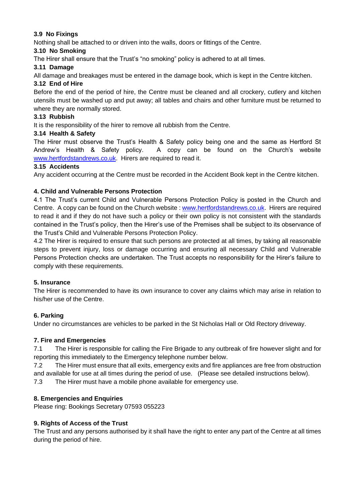## **3.9 No Fixings**

Nothing shall be attached to or driven into the walls, doors or fittings of the Centre.

#### **3.10 No Smoking**

The Hirer shall ensure that the Trust's "no smoking" policy is adhered to at all times.

### **3.11 Damage**

All damage and breakages must be entered in the damage book, which is kept in the Centre kitchen.

#### **3.12 End of Hire**

Before the end of the period of hire, the Centre must be cleaned and all crockery, cutlery and kitchen utensils must be washed up and put away; all tables and chairs and other furniture must be returned to where they are normally stored.

## **3.13 Rubbish**

It is the responsibility of the hirer to remove all rubbish from the Centre.

### **3.14 Health & Safety**

The Hirer must observe the Trust's Health & Safety policy being one and the same as Hertford St Andrew's Health & Safety policy. A copy can be found on the Church's website [www.hertfordstandrews.co.uk.](http://www.hertfordstandrews.co.uk/) Hirers are required to read it.

## **3.15 Accidents**

Any accident occurring at the Centre must be recorded in the Accident Book kept in the Centre kitchen.

### **4. Child and Vulnerable Persons Protection**

4.1 The Trust's current Child and Vulnerable Persons Protection Policy is posted in the Church and Centre. A copy can be found on the Church website [: www.hertfordstandrews.co.uk.](http://www.hertfordstandrews.co.uk/) Hirers are required to read it and if they do not have such a policy or their own policy is not consistent with the standards contained in the Trust's policy, then the Hirer's use of the Premises shall be subject to its observance of the Trust's Child and Vulnerable Persons Protection Policy.

4.2 The Hirer is required to ensure that such persons are protected at all times, by taking all reasonable steps to prevent injury, loss or damage occurring and ensuring all necessary Child and Vulnerable Persons Protection checks are undertaken. The Trust accepts no responsibility for the Hirer's failure to comply with these requirements.

#### **5. Insurance**

The Hirer is recommended to have its own insurance to cover any claims which may arise in relation to his/her use of the Centre.

## **6. Parking**

Under no circumstances are vehicles to be parked in the St Nicholas Hall or Old Rectory driveway.

#### **7. Fire and Emergencies**

7.1 The Hirer is responsible for calling the Fire Brigade to any outbreak of fire however slight and for reporting this immediately to the Emergency telephone number below.

7.2 The Hirer must ensure that all exits, emergency exits and fire appliances are free from obstruction

and available for use at all times during the period of use. (Please see detailed instructions below).

7.3 The Hirer must have a mobile phone available for emergency use.

## **8. Emergencies and Enquiries**

Please ring: Bookings Secretary 07593 055223

#### **9. Rights of Access of the Trust**

The Trust and any persons authorised by it shall have the right to enter any part of the Centre at all times during the period of hire.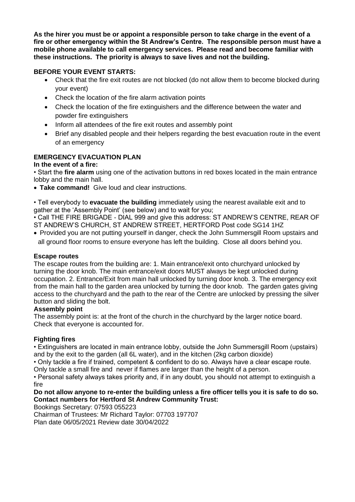**As the hirer you must be or appoint a responsible person to take charge in the event of a fire or other emergency within the St Andrew's Centre. The responsible person must have a mobile phone available to call emergency services. Please read and become familiar with these instructions. The priority is always to save lives and not the building.**

## **BEFORE YOUR EVENT STARTS:**

- Check that the fire exit routes are not blocked (do not allow them to become blocked during your event)
- Check the location of the fire alarm activation points
- Check the location of the fire extinguishers and the difference between the water and powder fire extinguishers
- Inform all attendees of the fire exit routes and assembly point
- Brief any disabled people and their helpers regarding the best evacuation route in the event of an emergency

### **EMERGENCY EVACUATION PLAN**

#### **In the event of a fire:**

• Start the **fire alarm** using one of the activation buttons in red boxes located in the main entrance lobby and the main hall.

• **Take command!** Give loud and clear instructions.

• Tell everybody to **evacuate the building** immediately using the nearest available exit and to gather at the 'Assembly Point' (see below) and to wait for you;

• Call THE FIRE BRIGADE - DIAL 999 and give this address: ST ANDREW'S CENTRE, REAR OF ST ANDREW'S CHURCH, ST ANDREW STREET, HERTFORD Post code SG14 1HZ

• Provided you are not putting yourself in danger, check the John Summersgill Room upstairs and all ground floor rooms to ensure everyone has left the building. Close all doors behind you.

#### **Escape routes**

The escape routes from the building are: 1. Main entrance/exit onto churchyard unlocked by turning the door knob. The main entrance/exit doors MUST always be kept unlocked during occupation. 2. Entrance/Exit from main hall unlocked by turning door knob. 3. The emergency exit from the main hall to the garden area unlocked by turning the door knob. The garden gates giving access to the churchyard and the path to the rear of the Centre are unlocked by pressing the silver button and sliding the bolt.

#### **Assembly point**

The assembly point is: at the front of the church in the churchyard by the larger notice board. Check that everyone is accounted for.

#### **Fighting fires**

• Extinguishers are located in main entrance lobby, outside the John Summersgill Room (upstairs) and by the exit to the garden (all 6L water), and in the kitchen (2kg carbon dioxide)

• Only tackle a fire if trained, competent & confident to do so. Always have a clear escape route. Only tackle a small fire and never if flames are larger than the height of a person.

• Personal safety always takes priority and, if in any doubt, you should not attempt to extinguish a fire

#### **Do not allow anyone to re-enter the building unless a fire officer tells you it is safe to do so. Contact numbers for Hertford St Andrew Community Trust:**

Bookings Secretary: 07593 055223

Chairman of Trustees: Mr Richard Taylor: 07703 197707 Plan date 06/05/2021 Review date 30/04/2022